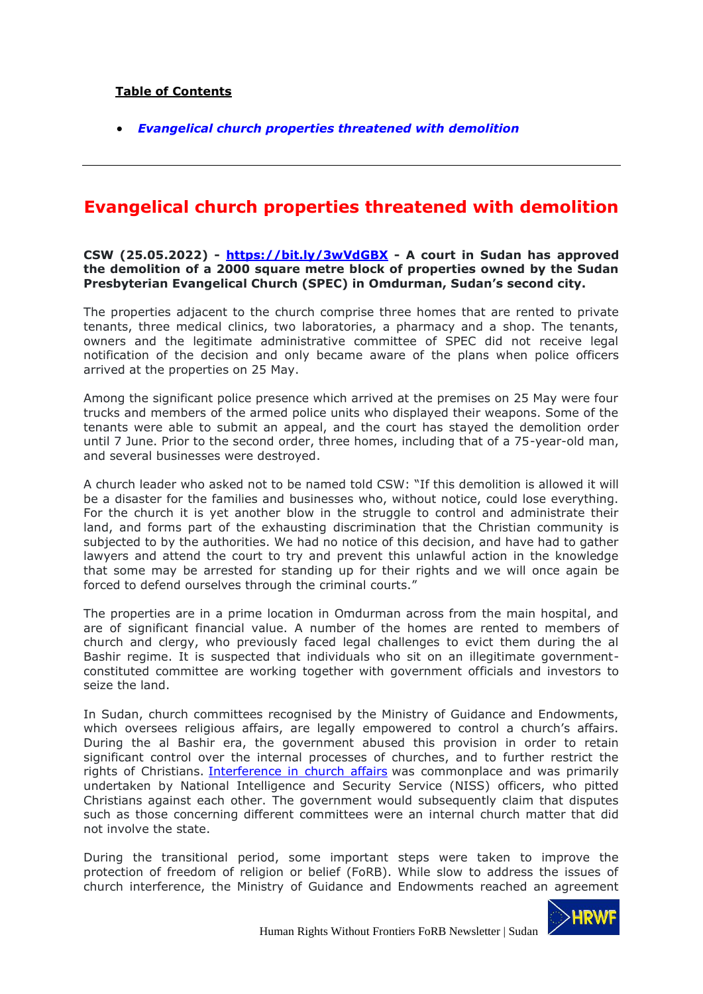## **Table of Contents**

• *Evangelical church properties threatened with demolition*

## **Evangelical church properties threatened with demolition**

## **CSW (25.05.2022) - https://bit.ly/3wVdGBX - A court in Sudan has approved the demolition of a 2000 square metre block of properties owned by the Sudan Presbyterian Evangelical Church (SPEC) in Omdurman, Sudan's second city.**

The properties adjacent to the church comprise three homes that are rented to private tenants, three medical clinics, two laboratories, a pharmacy and a shop. The tenants, owners and the legitimate administrative committee of SPEC did not receive legal notification of the decision and only became aware of the plans when police officers arrived at the properties on 25 May.

Among the significant police presence which arrived at the premises on 25 May were four trucks and members of the armed police units who displayed their weapons. Some of the tenants were able to submit an appeal, and the court has stayed the demolition order until 7 June. Prior to the second order, three homes, including that of a 75-year-old man, and several businesses were destroyed.

A church leader who asked not to be named told CSW: "If this demolition is allowed it will be a disaster for the families and businesses who, without notice, could lose everything. For the church it is yet another blow in the struggle to control and administrate their land, and forms part of the exhausting discrimination that the Christian community is subjected to by the authorities. We had no notice of this decision, and have had to gather lawyers and attend the court to try and prevent this unlawful action in the knowledge that some may be arrested for standing up for their rights and we will once again be forced to defend ourselves through the criminal courts."

The properties are in a prime location in Omdurman across from the main hospital, and are of significant financial value. A number of the homes are rented to members of church and clergy, who previously faced legal challenges to evict them during the al Bashir regime. It is suspected that individuals who sit on an illegitimate governmentconstituted committee are working together with government officials and investors to seize the land.

In Sudan, church committees recognised by the Ministry of Guidance and Endowments, which oversees religious affairs, are legally empowered to control a church's affairs. During the al Bashir era, the government abused this provision in order to retain significant control over the internal processes of churches, and to further restrict the rights of Christians. Interference in church affairs was commonplace and was primarily undertaken by National Intelligence and Security Service (NISS) officers, who pitted Christians against each other. The government would subsequently claim that disputes such as those concerning different committees were an internal church matter that did not involve the state.

During the transitional period, some important steps were taken to improve the protection of freedom of religion or belief (FoRB). While slow to address the issues of church interference, the Ministry of Guidance and Endowments reached an agreement